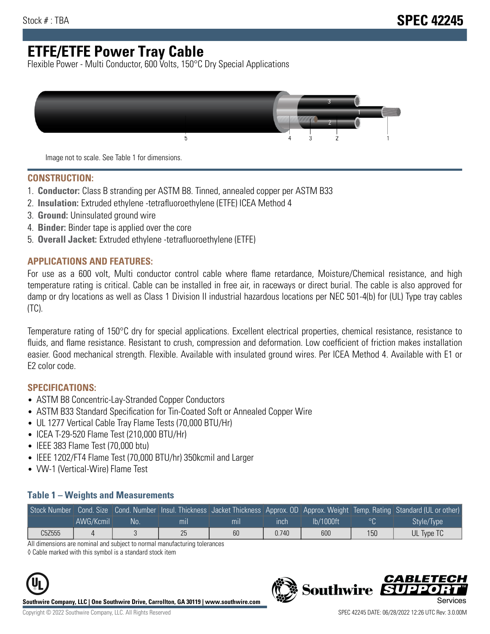# **ETFE/ETFE Power Tray Cable**

Flexible Power - Multi Conductor, 600 Volts, 150°C Dry Special Applications



Image not to scale. See Table 1 for dimensions.

#### **CONSTRUCTION:**

- 1. **Conductor:** Class B stranding per ASTM B8. Tinned, annealed copper per ASTM B33
- 2. **Insulation:** Extruded ethylene -tetrafluoroethylene (ETFE) ICEA Method 4
- 3. **Ground:** Uninsulated ground wire
- 4. **Binder:** Binder tape is applied over the core
- 5. **Overall Jacket:** Extruded ethylene -tetrafluoroethylene (ETFE)

### **APPLICATIONS AND FEATURES:**

For use as a 600 volt, Multi conductor control cable where flame retardance, Moisture/Chemical resistance, and high temperature rating is critical. Cable can be installed in free air, in raceways or direct burial. The cable is also approved for damp or dry locations as well as Class 1 Division II industrial hazardous locations per NEC 501-4(b) for (UL) Type tray cables (TC).

Temperature rating of 150°C dry for special applications. Excellent electrical properties, chemical resistance, resistance to fluids, and flame resistance. Resistant to crush, compression and deformation. Low coefficient of friction makes installation easier. Good mechanical strength. Flexible. Available with insulated ground wires. Per ICEA Method 4. Available with E1 or E2 color code.

### **SPECIFICATIONS:**

- ASTM B8 Concentric-Lay-Stranded Copper Conductors
- ASTM B33 Standard Specification for Tin-Coated Soft or Annealed Copper Wire
- UL 1277 Vertical Cable Tray Flame Tests (70,000 BTU/Hr)
- ICEA T-29-520 Flame Test (210,000 BTU/Hr)
- IEEE 383 Flame Test (70,000 btu)
- IEEE 1202/FT4 Flame Test (70,000 BTU/hr) 350kcmil and Larger
- VW-1 (Vertical-Wire) Flame Test

#### **Table 1 – Weights and Measurements**

| Stock Number |           |     |     |     |       |           |     | Cond. Size Cond. Number Insul. Thickness Jacket Thickness Approx. OD Approx. Weight Temp. Rating Standard (UL or other) |
|--------------|-----------|-----|-----|-----|-------|-----------|-----|-------------------------------------------------------------------------------------------------------------------------|
|              | AWG/Kcmil | No. | mıl | mil | ınch  | lb/1000ft | ്റ  | Style/Type <sup>1</sup>                                                                                                 |
| C5Z555       |           |     | 25  | 60  | 0.740 | 600       | 150 | UL Type TC                                                                                                              |

All dimensions are nominal and subject to normal manufacturing tolerances

◊ Cable marked with this symbol is a standard stock item



**Southwire Company, LLC | One Southwire Drive, Carrollton, GA 30119 | www.southwire.com**